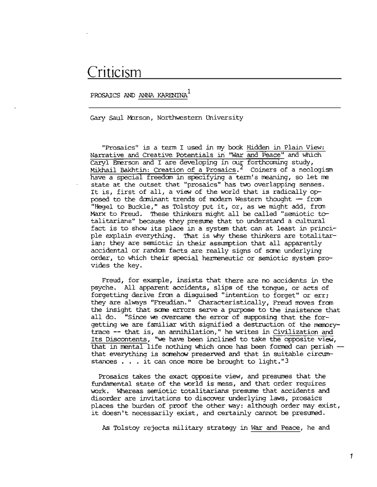## Criticism

PROSAICS AND ANNA KARENINA<sup>1</sup>

Gary Saul Morson, Northwestern University

"Prosaics" is a term I used in my book Hidden in Plain View: Narrative and Creative Potentials in "War and Peace" and which Caryl Emerson and I are developing in our forthcoming study, Mikhail Bakhtin: Creation of a Prosaics.<sup>2</sup> Coiners of a neologism have a special freedom in specifying a term's meaning, so let me state at the outset that "prosaics" has two overlapping senses. It is, first of all, a view of the world that is radically opposed to the dominant trends of modern Western thought - from "Hegel to Buckle," as Tolstoy put it, or, as we might add, from Marx to Freud. These thinkers might all be called "semiotic totalitarians" because they presume that to understand a cultural fact is to show its place in a system that can at least in principle explain everything. That is why these thinkers are totalitarian: they are semiotic in their assumption that all apparently accidental or random facts are really signs of some underlying order, to which their special hermeneutic or semiotic system provides the key.

Freud, for example, insists that there are no accidents in the psyche. All apparent accidents, slips of the tonque, or acts of forgetting derive from a disquised "intention to forget" or err; they are always "Freudian." Characteristically, Freud moves from the insight that some errors serve a purpose to the insistence that all do. "Since we overcame the error of supposing that the forgetting we are familiar with signified a destruction of the memorytrace -- that is, an annihilation," he writes in Civilization and Its Discontents, "we have been inclined to take the opposite view, that in mental life nothing which once has been formed can perish that everything is somehow preserved and that in suitable circumstances  $\ldots$  it can once more be brought to light."3

Prosaics takes the exact opposite view, and presumes that the fundamental state of the world is mess, and that order requires work. Whereas semiotic totalitarians presume that accidents and disorder are invitations to discover underlying laws, prosaics places the burden of proof the other way: although order may exist, it doesn't necessarily exist, and certainly cannot be presumed.

As Tolstoy rejects military strategy in War and Peace, he and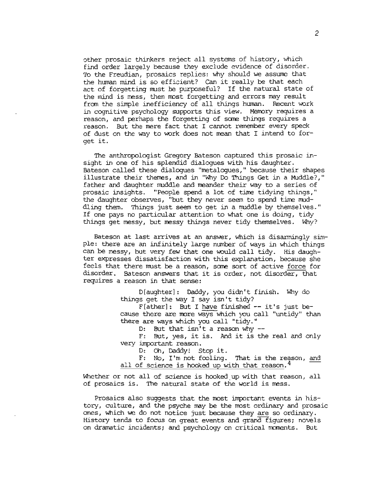other prosaic thinkers reject all systems of history, which find order largely because they exclude evidence of disorder. TO the Freudian, prosaics replies: why should we assume that the human mind is so efficient? can it really be that each act of forgetting must be purposeful? If the natural state of the mind is mess, then most forgetting and errors may result from the simple inefficiency of all things human. Recent work in cognitive psychology supports this view. Memory requires a reason, and perhaps the forgetting of some things requires a reason. But the mere fact that I cannot remember every speck of dust on the way to work does not mean that I intend to forget it.

The anthropologist Gregory Bateson captured this prosaic insight in one of his splendid dialogues with his daughter. Bateson called these dialogues "metalogues," because their shapes illustrate their themes, and in "Why Do Things Get in a Muddle?," father and daughter muddle and meander their way to a series of prosaic insights. "People spend a lot of time tidying things," the daughter observes, "but they never seem to spend time muddling them. Things just seem to get in a muddle by themselves." If one pays no particular attention to what one is doing, tidy things get messy, but messy things never tidy themselves. Why?

Bateson at last arrives at an answer, which is disarmingly simple: there are an infinitely large number of ways in which things can be messy, but very few that one would call tidy. His daughter expresses dissatisfaction with this explanation, because she feels that there must be a reason, some sort of active force for disorder. Bateson answers that it is order, not disorder, that requires a reason in that sense:

> D[aughter]: Daddy, you didn't finish. Why do things get the way <sup>I</sup> say isn't tidy?

F[ather}: But <sup>I</sup> have finished **--** it's just because there are rrore ways which you call "untidy" than there are ways which you call "tidy."

D: But that isn't <sup>a</sup> reason why

F: But, yes, it is. And it is the real and only very important reason.

D: Oh, Daddy! Stop it.<br>F: No, I'm not fooling. That is the reason, and all of science is hooked up with that reason.  $4$ 

Whether or not all of science is hooked up with that reason, all of prosaics is. The natural state of the world is mess.

Prosaics also suggests that the most important events in history, culture, and the psyche may be the most ordinary and prosaic ones, which we do not notice just because they are so ordinary. History tends to focus on great events and grand figures; novels on dramatic incidents; and psychology on critical moments. But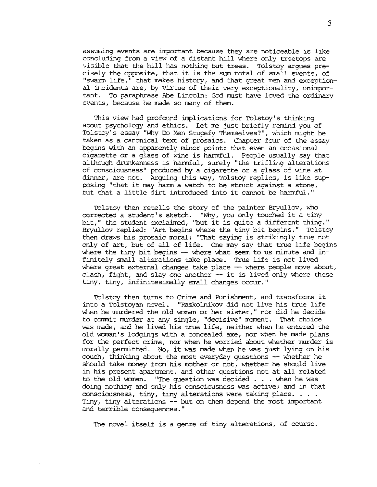assuming events are important because they are noticeable is like concluding fran <sup>a</sup> view of <sup>a</sup> distant hill where only treetops are visible that the hill has nothing but trees. Tolstoy argues precisely the opposite, that it is the sum total of small events, of "swarm life," that makes history, and that great men and exceptional incidents are, by virtue of their very exceptionality, unimportant. To paraphrase Abe Lincoln: God must have loved the ordinary events, because he made so many of them.

This view had profound implications for Tolstoy's thinking about psychology and ethics. Let me just briefly remind you of Tolstoy's essay "Why Do Men Stupefy 1hanselves?", which might be taken as a canonical text of prosaics. Chapter four of the essay begins with an apparently minor point: that even an occasional cigarette or a glass of wine is harmful. People usually say that although drunkenness is harmful, surely "the trifling alterations of consciousness" produced by a cigarette or a glass of wine at dinner, are not. Arguing this way, Tolstoy replies, is like supposing "that it may harm a watch to be struck against a stone, but that <sup>a</sup> little dirt intrcduced into it carmot be harmful."

Tolstoy then retells the story of the painter Bryullov, who corrected <sup>a</sup> student's sketch. "Why, you only touched it <sup>a</sup> tiny bit," the student exclaimed, "but it is quite a different thing." Bryullov replied: "Art begins where the tiny bit begins." Tolstoy then draws his prosaic moral: "That saying is strikingly true not only of art, but of all of life. One may say that true life begins where the tiny bit begins  $-$  where what seem to us minute and infinitely small alterations take place. True life is not lived where great external changes take place -- where people move about, clash, fight, and slay one another  $-$ - it is lived only where these tiny, tiny, infinitesimally small changes occur."

Tolstoy then turns to Crime and Punishment, and transforms it into <sup>a</sup> Tolstoyan novel. "Raskolnikov did not live *his* true life when he murdered the old woman or her sister," nor did he decide to commit murder at any single, "decisive" moment. That choice was made, and he lived his true life, neither when he entered the old woman's lodgings with a concealed axe, nor when he made plans for the perfect crime, nor when he worried about whether murder is morally permitted. No, it was made when he was just lying on his couch, thinking about the most everyday questions -- whether he should take money from his mother or not, whether he should live in his present apartment, and other questions not at all related to the old woman. "The question was decided  $\ldots$  when he was doing nothing and only his consciousness was active; and in that consciousness, tiny, tiny alterations were taking place. . . . Tiny, tiny alterations -- but on them depend the most important and terrible consequences."

The novel itself is a genre of tiny alterations, of course.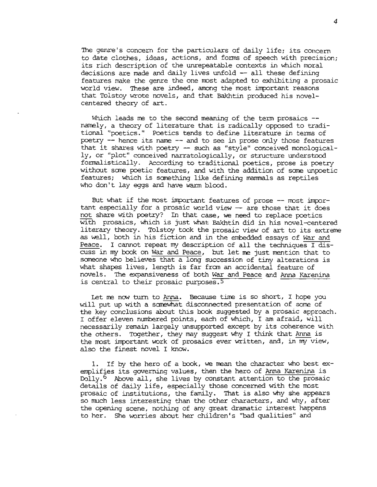The genre's concern for the particulars of daily life; its concern to date clothes, ideas, actions, and forms of speech with precision; its rich description of the unrepeatable contexts in which moral decisions are made and daily lives unfold  $-$  all these defining features make the genre the one most adapted to exhibiting a prosaic world view. These are indeed, among the most important reasons that Tolstoy wrote novels, and that Bakhtin prcduced his novelcentered theory of art.

Which leads me to the second meaning of the term prosaics  $-\frac{1}{2}$ namely, a theory of literature that is radically opposed to traditional "poetics." Poetics tends to define literature in terms of poetry **--** hence its narre -- and to see in prose anly those features that it shares with poetry  $-$  such as "style" conceived monologically, or "plot" conceived narratologically, or structure understood formalistically. According to traditional poetics, prose is poetry without some poetic features, and with the addition of some unpoetic features; which is sanething like defining rnanrnals as reptiles who don't lay eggs and have warm blood.

But what if the most important features of prose -- most impor $tant especially for a prosaic world view — are those that it does$ not share with poetry? In that case, we need to replace poetics with prosaics, which is just what Bakhtin did in his novel-centered literary theory. Tolstoy took the prosaic view of art to its extreme as well, both in his fiction and in the embedded essays of War and Peace. I cannot repeat my description of all the techniques I discuss in my book on War and Peace, but let me just mention that to someone who believes that a long succession of tiny alterations is what shapes lives, length is far fran an accidental feature of novels. The expansiveness of both War and Peace and Anna Karenina is central to their prosaic purposes.  $5$ 

Let me now turn to Anna. Because time is so short, I hope you will put up with a somewhat disconnected presentation of some of the key conclusions about this book suggested by a prosaic approach. I offer eleven numbered points, each of which, I am afraid, will necessarily remain largely unsupported except by its coherence with the others. Together, they may suggest why I think that Anna is the most important work of prosaics ever written, and, in my view, also the finest novel I know.

1. If by the hero of a book, we mean the character who best  $ex$ emplifies its governing values, then the hero of Anna Karenina is  $Dolly.<sup>6</sup>$  Above all, she lives by constant attention to the prosaic details of daily life, especially those concerned with the most prosaic of institutions, the family. That is also why she appears so much less interesting than the other characters, and why, after the opening scene, nothing of any great dramatic interest happens to her. She worries about her children's "bad qualities" and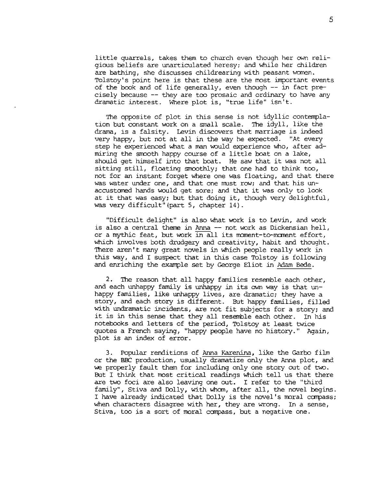little quarrels, takes them to church even though her own religious beliefs are unarticulated heresy; and while her children are bathing, she discusses childrearing with peasant waren. Tolstoy's point here is that these are the most important events of the book and of life generally, even though -- in fact precisely because -- they are too prosaic and ordinary to have any dramatic interest. Where plot is, "true life" isn't.

The opposite of plot in this sense is not idyllic contemplation but constant work on a small scale. The idyll, like the drama, is <sup>a</sup> falsity. Levin discovers that marriage *is* indeed very happy, but not at all in the way he expected. "At every step he experienced what a man would experience who, after admiring the srrooth happy course of <sup>a</sup> Iittle boat on <sup>a</sup> lake, should get himself into that boat. He saw that it was not all sitting still, floating smoothly; that one had to think too, not for an instant forget where one was floating, and that there was water under one, and that one must row; and that his unaccustomed hands would get sore; and that it was only to look at it that was easy; but that doing it, though very delightful, was very difficult" (part 5, chapter 14).

"Difficult delight" is also what work is to Levin, and work is also <sup>a</sup> central theme in Anna -- not work as Dickensian hell, or <sup>a</sup> mythic feat, but work in all its mament-to-moment effort, which involves both drudgery and creativity, habit and thought. There aren't many great novels in which people really work in this way, and I suspect that in this case Tolstoy is following and enriching the example set by George Eliot in Adam Bede.

2. The reason that all happy families resemble each other, and each unhappy family is unhappy in its own way is that  $un$ happy families, like unhappy lives, are dramatic; they have a story, and each story is different. But happy families, filled with undramatic incidents, are not fit subjects for <sup>a</sup> story: and it is in this sense that they all resemble each other. In his notebooks and letters of the period, Tolstoy at least twice quotes a French saying, "happy people have no history." Again, plot is an index of error.

3. Popular renditions of Anna Karenina, like the Garbo film or the BBC production, usually dramatize only the Anna plot, and we properly fault them for including only one story out of two. But I think that most critical readings which tell us that there are two foci are also leaving one out. I refer to the "third family", Stiva and Dolly, with whom, after all, the novel begins. I have already indicated that Dolly is the novel's moral compass; when characters disagree with her, they are wrong. In a sense, Stiva, too is a sort of moral compass, but a negative one.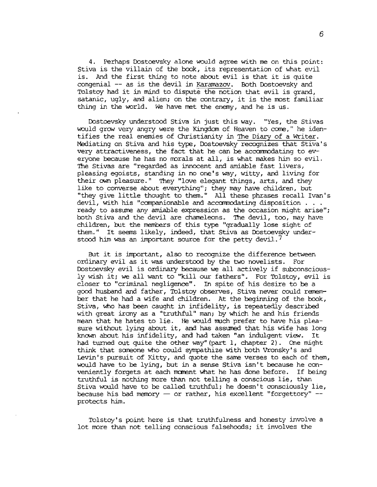4. Perhaps Dostoevsky alone would agree with me on this point: Stiva is the villain of the book, its representation of what evil is. And the first thing to note about evil is that it is quite congenial -- as is the devil in Karamazov. Both Dostoevsky and Tolstoy had it in mind to dispute the notion that evil is grand, satanic, ugly, and alien; on the contrary, it is the most familiar thing in the world. We have met the enemy, and he is us.

Dostoevsky understood Stiva in just this way. "Yes, the Stivas would grow very angry were the Kingdom of Heaven to come," he identifies the real enemies of Christianity in The Diary of a Writer. Mediating on Stiva and his type, Dostoevsky recognizes that Stiva' <sup>5</sup> very attractiveness, the fact that he can be accommodating to  $ev$ eryone because he has no morals at all, is what makes him so evil. The Stivas are "regarded as innocent and amiable fast livers, pleasing egoists, standing in no one's way, witty, and living for their own pleasure." They "love elegant things, arts, and they like to converse about everything"; they may have children, but The to converse about overydning, diey may have children, but<br>"they give little thought to them." All these phrases recall Ivan's<br>devil, with his "companionable and accommodating disposition ... devil, with his "companionable and accommodating disposition . . .<br>ready to assume any amiable expression as the occasion might arise"; both Stiva and the devil are chameleons. The devil, too, may have children, but the members of this type "gradually lose sight of them." It seems likely, indeed, that Stiva as Dostoevsky understood him was an important source for the petty devil.  $\frac{7}{2}$ 

But it is important, also to recognize the difference between ordinary evil as it was understood by the two novelists. For Dostoevsky evil is ordinary because we all actively if subconsciously wish it; we all want to "kill our fathers". For Tolstoy, evil is closer to "criminal negligence". In spite of his desire to be a good husband and father, Tolstoy observes, Stiva never could rememher that he had a wife and children. At the beginning of the book, Stiva, who has been caught in infidelity, is repeatedly described with great irony as a "truthful" man; by which he and his friends mean that he hates to lie. He would much prefer to have his pleasure without lying about it, and has assumed that his wife has long known about his infidelity, and had taken "an indulgent view. It had turned out quite the other way" (part 1, chapter 2). Che might think that someone who could sympathize with both Vronsky's and Levin's pursuit of Kitty, and quote the same verses to each of them, would have to be lying, but in a sense Stiva isn't because he conveniently forgets at each moment what he has done before. If being truthful is nothing more than not telling a conscious lie, than Stiva would have to be called truthful; he doesn't consciously lie, because his bad memory  $-$  or rather, his excellent "forgettory"  $$ protects him.

Tolstoy's point here is that truthfulness and honesty involve a lot more than not telling conscious falsehoods; it involves the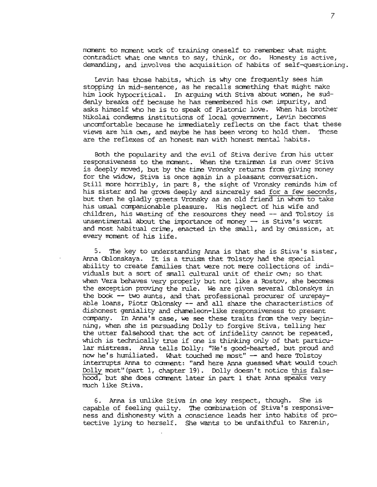moment to moment work of training oneself to remember what might contradict what one wants to say, think, or do. Honesty is active, demanding, and involves the acquisition of habits of self-questioning.

Levin has those habits, which is why one frequently sees him stopping in mid-sentence, as he recalls something that might make him look hypocritical. In arquing with Stiva about women, he suddenly breaks off because he has remembered his own impurity, and asks himself who he is to speak of Platonic love. When his brother Nikolai condemns institutions of local government, Levin becomes uncomfortable because he immediately reflects on the fact that these views are his own, and maybe he has been wrong to hold them. These are the reflexes of an honest man with honest mental habits.

Both the popularity and the evil of Stiva derive from his utter responsiveness to the moment. When the trainman is run over Stiva is deeply moved, but by the time Vronsky returns from giving money for the widow, Stiva is once again in a pleasant conversation. Still more horribly, in part 8, the sight of Vronsky reminds him of his sister and he grows deeply and sincerely sad for a few seconds, but then he gladly greets Vronsky as an old friend in whom to take his usual companionable pleasure. His neglect of his wife and children, his wasting of the resources they need -- and Tolstoy is unsentimental about the importance of money  $-$  is Stiva's worst and most habitual crime, enacted in the small, and by omission, at every moment of his life.

5. The key to understanding Anna is that she is Stiva's sister, Anna Oblonskaya. It is a truism that Tolstoy had the special ability to create families that were not mere collections of individuals but a sort of small cultural unit of their own; so that when Vera behaves very properly but not like a Rostov, she becomes the exception proving the rule. We are given several Oblonskys in the book -- two aunts, and that professional procurer of unrepayable loans, Piotr Oblonsky -- and all share the characteristics of dishonest geniality and chameleon-like responsiveness to present company. In Anna's case, we see these traits from the very beginning, when she is persuading Dolly to forgive Stiva, telling her the utter falsehood that the act of infidelity cannot be repeated, which is technically true if one is thinking only of that particular mistress. Anna tells Dolly: "He's good-hearted, but proud and now he's humiliated. What touched me most" -- and here Tolstoy interrupts Anna to comment: "and here Anna quessed what would touch Dolly most" (part 1, chapter 19). Dolly doesn't notice this falsehood, but she does comment later in part 1 that Anna speaks very much like Stiva.

6. Anna is unlike Stiva in one key respect, though. She is capable of feeling guilty. The combination of Stiva's responsiveness and dishonesty with a conscience leads her into habits of protective lying to herself. She wants to be unfaithful to Karenin,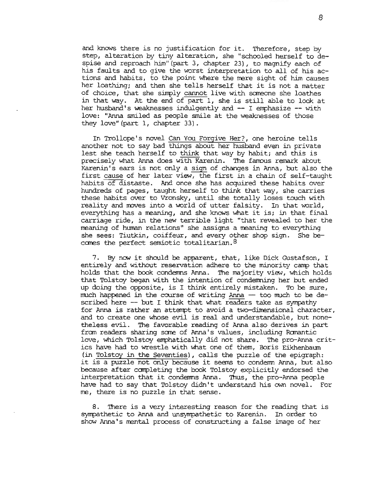and knows there is no justification for it. Therefore, step by step, alteration by tiny alteration, she "schooled herself to despise and reproach him" (part 3, chapter 23), to magnify each of his faults and to give the worst interpretation to all of his actions and habits, to the point where the mere sight of him causes her loathingi and then she tells herself that *it* is not <sup>a</sup> matter of choice, that she sinply carmot live with sareone she loathes in that way. At the end of part 1, she is still able to look at her husband's weaknesses indulgently and -- I emphasize -- with love: "Anna smiled as people smile at the weaknesses of those they love" (part 1, chapter 33).

In Trollope's novel Can You Forgive Her?, one heroine tells another not to say bad things about her husband even in private lest she teach herself to think that way by habit; and this is precisely what Anna does with Karenin. The famous remark about Karenin's ears is not only a sign of changes in Anna, but also the first cause of her later view, the first in a chain of self-taught habits of distaste. And once she has acquired these habits over hundreds of pages, taught herself to think that way, she carries these habits over to vronsky, until she totally loses touch with reality and moves into a world of utter falsity. In that world, everything has a meaning, and she knows what it is; in that final carriage ride, in the new terrible light "that revealed to her the meaning of human relations" she assigns a meaning to everything she sees: Tiutkin, coiffeur, and evezy other shop sign. She becares the perfect semiotic totalitarian. 8

7. By now it should be apparent, that, like Dick Gustafson, I entirely and without reservation adhere to the minority camp that holds that the book condemns Anna. The majority view, which holds that Tolstoy began with the intention of condemning her but ended up doing the opposite, is I think entirely mistaken. To be sure, much happened in the course of writing  $A$ nna  $-$  too much to be described here **--** but <sup>I</sup> think that what readers take as sympathy for Anna is rather an attempt to avoid a two-dimensional character, and to create one whose evil is real and understandable, but nonetheless evil. The favorable reading of Anna also derives in part fran readers sharing sore of Anna's values, including Rarantic love, which Tolstoy emphatically did not share. The pro-Anna critics have had to wrestle with what one of them, Boris Eikhenbaum (in Tolstoy in the Seventies), calls the puzzle of the epigraph: it is <sup>a</sup> puzzle not only because it seans to condemn Anna, but also because after completing the book Tolstoy explicitly endorsed the interpretation that it condemns Anna. 'Ihus, the pro-Anna people have had to say that Tolstoy didn't understand his own novel. For me, there is no puzzle in that sense.

8. There is a very interesting reason for the reading that is sympathetic to Anna and unsyrrpathetic to Karenin. In order to show Anna's mental process of constructing a false image of her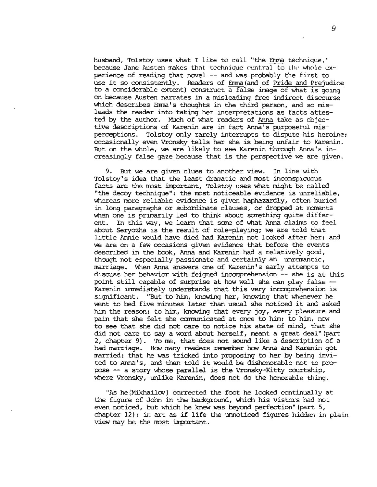husband, Tolstoy uses what I like to call "the Emma technique," because Jane Austen makes that technique central to the whole experience of reading that novel -- and was probably the first to use it so consistently. Readers of Enna (and of Pride and Prejudice to a considerable extent) construct  $\overline{a}$  false image of what is going on because Austen narrates in a misleading free indirect discourse which describes Emma's thoughts in the third person, and so misleads the reader into taking her interpretations as facts attested by the author. Much of what readers of Anna take as objective descriptions of Karenin are in fact Anna's purposeful misperceptions. Tolstoy only rarely interrupts to dispute his heroine; occasionally even Vronsky tells her she is being unfair to Karenin. But on the whole, we are likely to see Karenin through Anna's increasingly false gaze because that is the perspective we are given.

9. But we are given clues to another view. In line with Tolstoy's idea that the least dramatic and most inconspicuous facts are the most important, Tolstoy uses what might be called "the decoy technique": the most noticeable evidence is unreliable, whereas more reliable evidence is given haphazardly, often buried in long paragraphs or subordinate clauses, or dropped at moments when one is primarily led to think about samething quite different. In this way, we learn that some of what Anna claims to feel about 5eryozha is the result of role-playing; we are told that little Annie would have died had Karenin not looked after her; and we are on a few occasions given evidence that before the events described in the book, Anna and Karenin had a relatively good, though not especially passionate and certainly an unromantic, marriage. When Anna answers one of Karenin's early attempts to discuss her behavior with feigned ineatprehension -- she is at this point still capable of surprise at how well she can play false  $-$ Karenin immediately understands that this very incomprehension is significant. "But to him, knowing her, knowing that whenever he went to bed five minutes later than usual she noticed it ani asked him the reason; to him, knowing that every joy, every pleasure and pain that she felt she communicated at once to him; to him, now to see that she did oot care to notice his state of mind, that she did not care to say a word about herself, meant a great deal" (part 2, chapter 9). To me, that does not sound like a description of a bad marriage. How many readers remember how Anna and Karenin got married: that he was tricked into proposing to her by being invited to Anna's, and then told it would be dishonorable not to pro $pose - a story whose parallel is the Vronsky-Kitty courtship,$ where Vronsky, unlike Karenin, does not do the honorable thing.

"As he [Mikhailov] corrected the foot he looked continually at the figure of John in the background, which his vistors had not even noticed, but which he knew was beyond perfection" (part 5, chapter 12); in art as if life the unnoticed figures hidden in plain view may be the most important.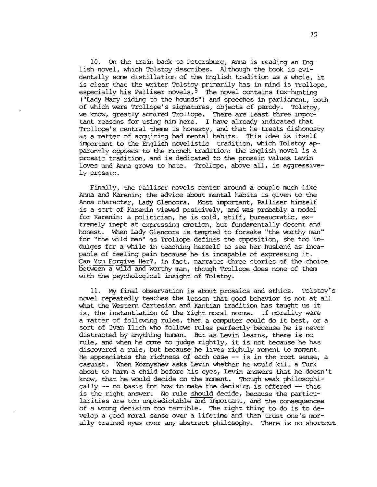10. On the train back to Petersburg, Anna is reading an English novel, which Tolstoy describes. Although the book is evidentally same distillation of the English tradition as <sup>a</sup> whole, it is clear that the writer Tolstoy primarily has in mind is Trollope, especially his Palliser novels.  $9$  The novel contains fox-hunting ("Lady Mary riding to the hounds") and speeches in parliament, both of which were Trollope's signatures, objects of parody. Tolstoy, we know, greatly admired Trollope. There are least three important reasons for using him here. I have already indicated that Trollope's central theme is honesty, and that he treats dishonesty as a matter of acquiring bad mental habits. '!his idea is itself  $im$  important to the English novelistic tradition, which Tolstoy apparently opposes to the French tradition: the English novel is a prosaic tradition, and is dedicated to the prosaic values Levin loves and Anna grows to hate. Trollope, above all, is aggressively prosaic.

Finally, the Palliser novels center around a couple much like Anna and Karenin; the advice about mental habits is given to the Anna character, Lady Glencora. Most irrportant, Palliser himself is a sort of Karenin viewed positively, and was probably a model for Karenin: a politician, he is cold, stiff, bureaucratic, extremely inept at expressing emotion, but fundamentally decent and honest. When Lady Glencora is tempted to forsake "the worthy man" for "the wild man" as Trollope defines the opposition, she too indulges for a while in teaching herself to see her husband as incapable of feeling pain because he is incapable of expressing it. can You Forgive Her?, in fact, narrates three stories of the choice between a wild and worthy man, thoogh Trollope does none of than with the psychological insight of Tolstoy.

11. My final observation is about prosaics and ethics. Tolstoy's novel repeatedly teaches the lesson that good behavior is not at all what the Western Cartesian and Kantian tradition has taught us it is, the instantiation of the right moral norms. If morality were a matter of following rules, then a computer could do it best, or a sort of Ivan Ilich who follows rules perfectly because he is never distracted by anything human. But as Levin learns, there is no rule, and when he care to judge rightly, it is not because he has discovered a rule, but because he lives rightly moment to moment. He appreciates the richness of each case -- is in the root sense, a casuist. When Koznyshev asks Levin whether he would kill a Turk about to harm a child before his eyes, Levin answers that he doesn't know, that he would decide on the moment. Though weak philosophically -- no basis for how to make the decision *is* offered -- this is the right answer. No rule should decide, because the particularities are too unpredictable and important, and the consequences of a wrong decision too terrible. 'Ihe right thing to do is to develop a good moral sense over a lifetime and then trust one's morally trained eyes over any abstract philosophy. There is no shortcut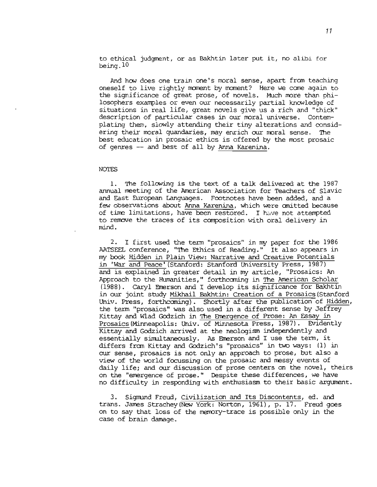to ethical judgment, or as Bakhtin later put it, no alibi for  $being.10$ 

And how does one train one's moral sense, apart from teaching oneself to live rightly moment by moment? Here we come again to the significance of great prose, of novels. Much more than philosophers examples or even our necessarily partial knowledge of situations in real life, great novels give us a rich and "thick" description of particular cases in our noral universe. Contemplating them, slowly attending their tiny alterations and considering their moral quandaries, may enrich our moral sense. The best education in prosaic ethics is offered by the most prosaic of genres -- and best of all by Anna Karenina.

## **NOTES**

1. The following is the text of a talk delivered at the 1987 annual meeting of the American Association for Teachers of Slavic and East European Languages. Footnotes have been added, and a few observations about Anna Karenina, which were omitted because of time limitations, have been restored. I have not attempted to remove the traces of its composition with oral delivery in mind.

2. <sup>I</sup> first used the term "prosaics" in my paper for the <sup>1986</sup> AATSEEL conference, "'Ihe Ethics of Reading." It also appears in my book Hidden in Plain View: Narrative and Creative Potentials in 'War and Peace' (Stanford: Stanford University Press, 1987) and *is* explained *in* greater detail in my article, "Prosaics: An Approach to the Humanities," forthcoming in The American Scholar  $(1988)$ . Caryl Emerson and I develop its significance for Bakhtin in our joint study Mikhail Bakhtin: Creation of a Prosaics (Stanford Univ. Press, forthcaning). Shortly after the publication of Hidden, the term "prosaies" was also used in a different sense by Jeffrey Kittay and Wlad Godzich in The Emergence of Prose: An Essay in Prosaics (Minneapolis: Univ. of Minnesota Press, 1987) . Evidently Kittay and Godzich arrived at the neologism independently and essentially simultaneously. As Emerson and I use the term, it differs fran Kittay and Godzich's "prosaics" in two ways: (1) in our sense, prosaics is not only an approach to prose, but also <sup>a</sup> view of the world focussing on the prosaic and messy events of daily life; and our discussion of prose centers on the novel, theirs on the "emergence of prose." Despite these differences, we have no difficulty in responding with enthusiasm to their basic argument.

3. Sigmmd Freud, Civilization and Its Discontents, ed. and trans. James Strachey (New York: Norton, 1961), p. 17. Freud goes on to say that loss of the memory-trace is possible only in the case of brain damage.